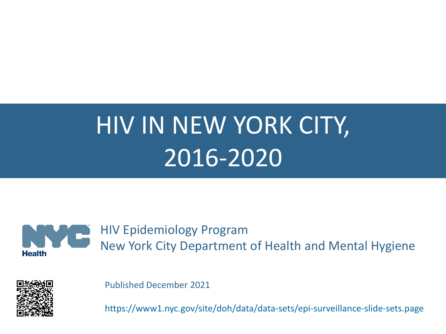# HIV IN NEW YORK CITY, 2016-2020



HIV Epidemiology Program New York City Department of Health and Mental Hygiene



Published December 2021

https://www1.nyc.gov/site/doh/data/data-sets/epi-surveillance-slide-sets.page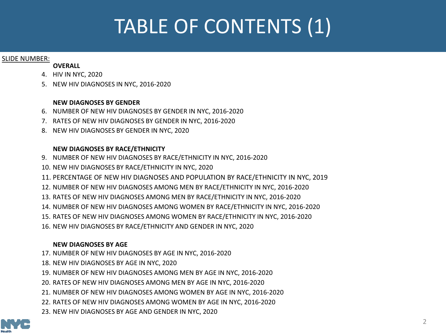### TABLE OF CONTENTS (1)

#### SLIDE NUMBER:

#### **OVERALL**

- 4. [HIV IN NYC, 2020](#page-3-0)
- 5. [NEW HIV DIAGNOSES IN NYC, 2016-2020](#page-4-0)

#### **NEW DIAGNOSES BY GENDER**

- 6. [NUMBER OF NEW HIV DIAGNOSES BY GENDER IN NYC, 2016-2020](#page-5-0)
- 7. [RATES OF NEW HIV DIAGNOSES BY GENDER IN NYC, 2016-2020](#page-6-0)
- 8. [NEW HIV DIAGNOSES BY GENDER IN NYC, 2020](#page-7-0)

#### **NEW DIAGNOSES BY RACE/ETHNICITY**

- 9. [NUMBER OF NEW HIV DIAGNOSES BY RACE/ETHNICITY IN NYC, 2016-2020](#page-8-0)
- 10. [NEW HIV DIAGNOSES BY RACE/ETHNICITY IN NYC, 2020](#page-9-0)
- 11. [PERCENTAGE OF NEW HIV DIAGNOSES AND POPULATION BY RACE/ETHNICITY](#page-10-0) IN NYC, 2019
- 12. [NUMBER OF NEW HIV DIAGNOSES AMONG MEN](#page-11-0) BY RACE/ETHNICITY IN NYC, 2016-2020
- 13. [RATES OF NEW HIV DIAGNOSES AMONG MEN](#page-12-0) BY RACE/ETHNICITY IN NYC, 2016-2020
- 14. [NUMBER OF NEW HIV DIAGNOSES AMONG WOMEN BY RACE/ETHNICITY IN NYC, 2016-2020](#page-13-0)
- 15. [RATES OF NEW HIV DIAGNOSES AMONG WOMEN BY RACE/ETHNICITY IN NYC, 2016-2020](#page-14-0)
- 16. [NEW HIV DIAGNOSES BY RACE/ETHNICITY AND GENDER IN NYC, 2020](#page-15-0)

#### **NEW DIAGNOSES BY AGE**

- 17. [NUMBER OF NEW HIV DIAGNOSES BY AGE IN NYC, 2016-2020](#page-16-0)
- 18. [NEW HIV DIAGNOSES BY AGE IN NYC, 2020](#page-17-0)
- 19. [NUMBER OF NEW HIV DIAGNOSES AMONG MEN BY AGE IN NYC, 2016-2020](#page-18-0)
- 20. [RATES OF NEW HIV DIAGNOSES AMONG MEN BY AGE IN NYC, 2016-2020](#page-19-0)
- 21. [NUMBER OF NEW HIV DIAGNOSES AMONG WOMEN BY AGE IN NYC, 2016-2020](#page-20-0)
- 22. [RATES OF NEW HIV DIAGNOSES AMONG WOMEN BY AGE IN NYC, 2016-2020](#page-21-0)
- 23. [NEW HIV DIAGNOSES BY AGE AND GENDER IN NYC, 2020](#page-22-0)

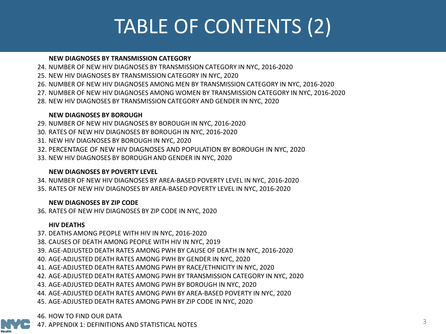### TABLE OF CONTENTS (2)

#### **NEW DIAGNOSES BY TRANSMISSION CATEGORY**

- 24. [NUMBER OF NEW HIV DIAGNOSES BY TRANSMISSION CATEGORY IN NYC, 2016-2020](#page-23-0)
- 25. [NEW HIV DIAGNOSES BY TRANSMISSION CATEGORY IN NYC, 2020](#page-24-0)
- 26. NUMBER OF NEW HIV DIAGNOSES AMONG MEN [BY TRANSMISSION CATEGORY IN NYC, 2016-2020](#page-25-0)
- 27. [NUMBER OF NEW HIV DIAGNOSES AMONG WOMEN BY TRANSMISSION CATEGORY IN NYC, 2016-2020](#page-26-0)
- 28. [NEW HIV DIAGNOSES BY TRANSMISSION CATEGORY AND GENDER IN NYC, 2020](#page-27-0)

#### **NEW DIAGNOSES BY BOROUGH**

- 29. [NUMBER OF NEW HIV DIAGNOSES BY BOROUGH IN NYC, 2016-2020](#page-28-0)
- 30. [RATES OF NEW HIV DIAGNOSES BY BOROUGH IN NYC, 2016-2020](#page-29-0)
- 31. [NEW HIV DIAGNOSES BY BOROUGH IN NYC, 2020](#page-30-0)
- 32. [PERCENTAGE OF NEW HIV DIAGNOSES AND POPULATION BY BOROUGH IN NYC, 2020](#page-31-0)
- 33. [NEW HIV DIAGNOSES BY BOROUGH AND GENDER IN NYC, 2020](#page-32-0)

#### **NEW DIAGNOSES BY POVERTY LEVEL**

34. [NUMBER OF NEW HIV DIAGNOSES BY AREA-BASED POVERTY LEVEL IN NYC, 2016-2020](#page-33-0)

35. [RATES OF NEW HIV DIAGNOSES BY AREA-BASED POVERTY LEVEL IN NYC, 2016-2020](#page-34-0)

#### **NEW DIAGNOSES BY ZIP CODE**

36. [RATES OF NEW HIV DIAGNOSES BY ZIP CODE IN NYC, 2020](#page-35-0)

#### **HIV DEATHS**

37. [DEATHS AMONG PEOPLE WITH HIV IN NYC, 2016-2020](#page-36-0) 38. [CAUSES OF DEATH AMONG PEOPLE WITH HIV IN NYC, 2019](#page-37-0) 39. [AGE-ADJUSTED DEATH RATES AMONG PWH BY CAUSE OF DEATH IN NYC, 2016-2020](#page-38-0) 40. [AGE-ADJUSTED DEATH RATES AMONG PWH BY GENDER IN NYC, 2020](#page-39-0) 41. [AGE-ADJUSTED DEATH RATES AMONG PWH BY RACE/ETHNICITY IN NYC, 2020](#page-40-0) 42. [AGE-ADJUSTED DEATH RATES AMONG PWH BY TRANSMISSION CATEGORY IN NYC, 2020](#page-41-0) 43. [AGE-ADJUSTED DEATH RATES AMONG PWH BY BOROUGH IN NYC, 2020](#page-42-0) 44. [AGE-ADJUSTED DEATH RATES AMONG PWH BY AREA-BASED POVERTY IN NYC, 2020](#page-43-0) 45. [AGE-ADJUSTED DEATH RATES AMONG PWH BY ZIP CODE IN NYC, 2020](#page-44-0)

46. [HOW TO FIND OUR DATA](#page-45-0)



47. [APPENDIX 1: DEFINITIONS AND STATISTICAL NOTES](#page-46-0)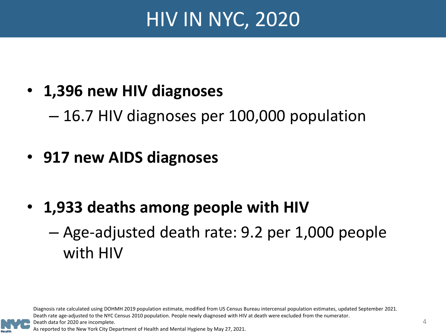### HIV IN NYC, 2020

### <span id="page-3-0"></span>• **1,396 new HIV diagnoses**

– 16.7 HIV diagnoses per 100,000 population

### • **917 new AIDS diagnoses**

• **1,933 deaths among people with HIV** – Age-adjusted death rate: 9.2 per 1,000 people with HIV

Diagnosis rate calculated using DOHMH 2019 population estimate, modified from US Census Bureau intercensal population estimates, updated September 2021. Death rate age-adjusted to the NYC Census 2010 population. People newly diagnosed with HIV at death were excluded from the numerator.



As reported to the New York City Department of Health and Mental Hygiene by May 27, 2021.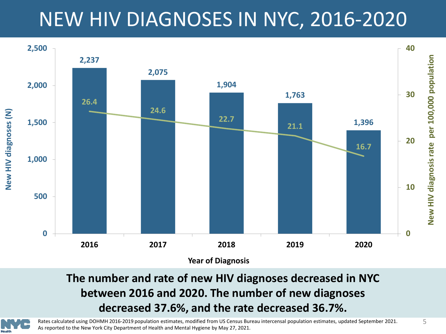### NEW HIV DIAGNOSES IN NYC, 2016-2020

<span id="page-4-0"></span>

**The number and rate of new HIV diagnoses decreased in NYC between 2016 and 2020. The number of new diagnoses decreased 37.6%, and the rate decreased 36.7%.** 



Rates calculated using DOHMH 2016-2019 population estimates, modified from US Census Bureau intercensal population estimates, updated September 2021. As reported to the New York City Department of Health and Mental Hygiene by May 27, 2021.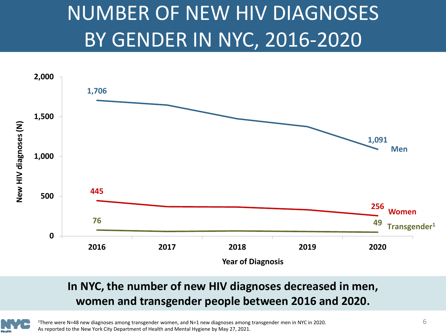### NUMBER OF NEW HIV DIAGNOSES BY GENDER IN NYC, 2016-2020

<span id="page-5-0"></span>

#### **In NYC, the number of new HIV diagnoses decreased in men, women and transgender people between 2016 and 2020.**



 $1$ There were N=48 new diagnoses among transgender women, and N=1 new diagnoses among transgender men in NYC in 2020. As reported to the New York City Department of Health and Mental Hygiene by May 27, 2021.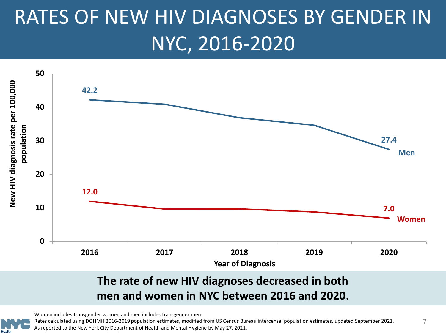## <span id="page-6-0"></span>RATES OF NEW HIV DIAGNOSES BY GENDER IN NYC, 2016-2020



**men and women in NYC between 2016 and 2020.**



Rates calculated using DOHMH 2016-2019 population estimates, modified from US Census Bureau intercensal population estimates, updated September 2021. As reported to the New York City Department of Health and Mental Hygiene by May 27, 2021.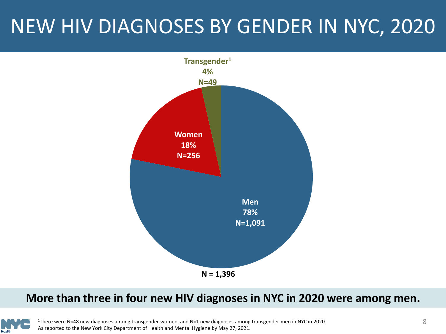### <span id="page-7-0"></span>NEW HIV DIAGNOSES BY GENDER IN NYC, 2020



#### **More than three in four new HIV diagnoses in NYC in 2020 were among men.**



1There were N=48 new diagnoses among transgender women, and N=1 new diagnoses among transgender men in NYC in 2020. As reported to the New York City Department of Health and Mental Hygiene by May 27, 2021.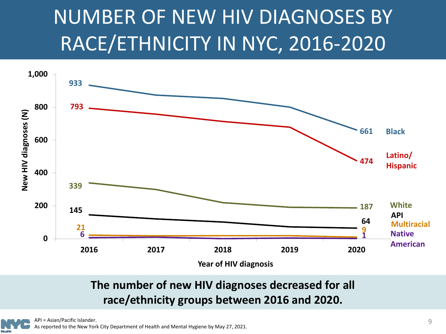### <span id="page-8-0"></span>NUMBER OF NEW HIV DIAGNOSES BY RACE/ETHNICITY IN NYC, 2016-2020



### **The number of new HIV diagnoses decreased for all race/ethnicity groups between 2016 and 2020.**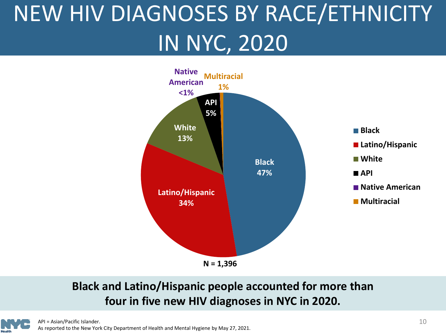# <span id="page-9-0"></span>NEW HIV DIAGNOSES BY RACE/ETHNICITY IN NYC, 2020



#### **Black and Latino/Hispanic people accounted for more than four in five new HIV diagnoses in NYC in 2020.**

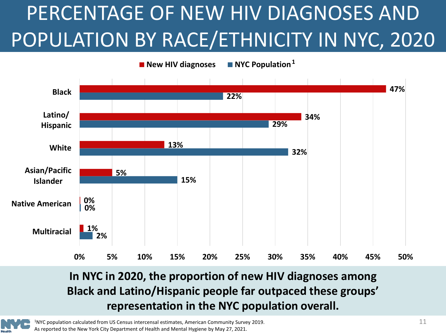# <span id="page-10-0"></span>PERCENTAGE OF NEW HIV DIAGNOSES AND POPULATION BY RACE/ETHNICITY IN NYC, 2020



### **In NYC in 2020, the proportion of new HIV diagnoses among Black and Latino/Hispanic people far outpaced these groups' representation in the NYC population overall.**

1NYC population calculated from US Census intercensal estimates, American Community Survey 2019. As reported to the New York City Department of Health and Mental Hygiene by May 27, 2021.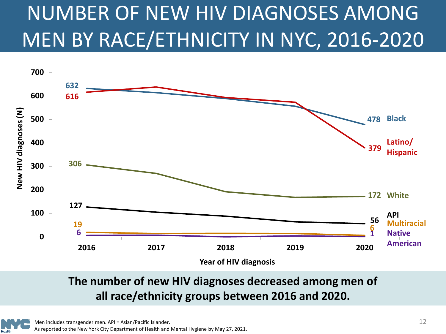# <span id="page-11-0"></span>NUMBER OF NEW HIV DIAGNOSES AMONG MEN BY RACE/ETHNICITY IN NYC, 2016-2020



#### **The number of new HIV diagnoses decreased among men of all race/ethnicity groups between 2016 and 2020.**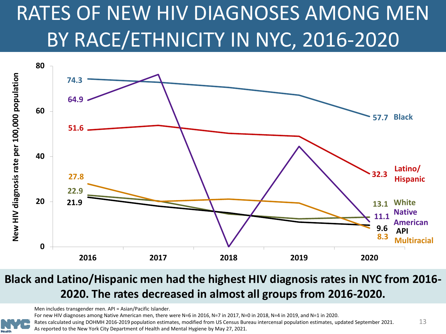# <span id="page-12-0"></span>RATES OF NEW HIV DIAGNOSES AMONG MEN BY RACE/ETHNICITY IN NYC, 2016-2020



### Black and Latino/Hispanic men had the highest HIV diagnosis rates in NYC from 2016-**2020. The rates decreased in almost all groups from 2016-2020.**

Men includes transgender men. API = Asian/Pacific Islander.

For new HIV diagnoses among Native American men, there were N=6 in 2016, N=7 in 2017, N=0 in 2018, N=4 in 2019, and N=1 in 2020.

13 Rates calculated using DOHMH 2016-2019 population estimates, modified from US Census Bureau intercensal population estimates, updated September 2021. As reported to the New York City Department of Health and Mental Hygiene by May 27, 2021.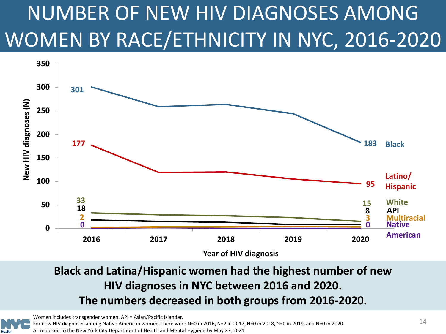# <span id="page-13-0"></span>NUMBER OF NEW HIV DIAGNOSES AMONG WOMEN BY RACE/ETHNICITY IN NYC, 2016-2020



### **Black and Latina/Hispanic women had the highest number of new HIV diagnoses in NYC between 2016 and 2020. The numbers decreased in both groups from 2016-2020.**

Women includes transgender women. API = Asian/Pacific Islander.

For new HIV diagnoses among Native American women, there were N=0 in 2016, N=2 in 2017, N=0 in 2018, N=0 in 2019, and N=0 in 2020. As reported to the New York City Department of Health and Mental Hygiene by May 27, 2021.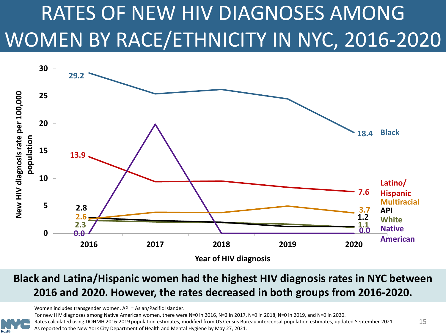## <span id="page-14-0"></span>RATES OF NEW HIV DIAGNOSES AMONG WOMEN BY RACE/ETHNICITY IN NYC, 2016-2020



#### **Black and Latina/Hispanic women had the highest HIV diagnosis rates in NYC between 2016 and 2020. However, the rates decreased in both groups from 2016-2020.**

Women includes transgender women. API = Asian/Pacific Islander.

For new HIV diagnoses among Native American women, there were N=0 in 2016, N=2 in 2017, N=0 in 2018, N=0 in 2019, and N=0 in 2020.

Rates calculated using DOHMH 2016-2019 population estimates, modified from US Census Bureau intercensal population estimates, updated September 2021. As reported to the New York City Department of Health and Mental Hygiene by May 27, 2021.

15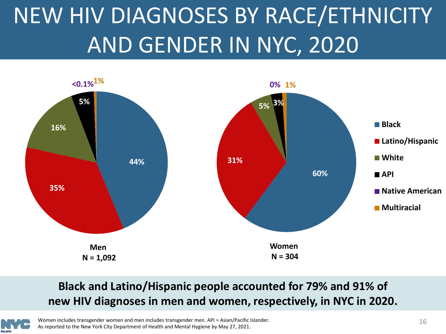# <span id="page-15-0"></span>NEW HIV DIAGNOSES BY RACE/ETHNICITY AND GENDER IN NYC, 2020



### **Black and Latino/Hispanic people accounted for 79% and 91% of new HIV diagnoses in men and women, respectively, in NYC in 2020.**



Women includes transgender women and men includes transgender men. API = Asian/Pacific Islander. As reported to the New York City Department of Health and Mental Hygiene by May 27, 2021.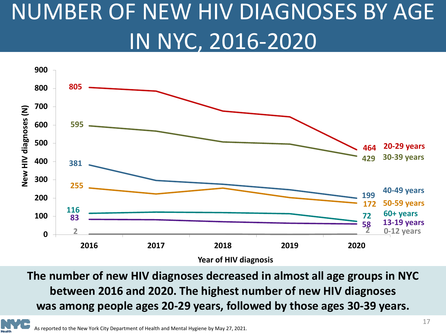# <span id="page-16-0"></span>NUMBER OF NEW HIV DIAGNOSES BY AGE IN NYC, 2016-2020



**The number of new HIV diagnoses decreased in almost all age groups in NYC between 2016 and 2020. The highest number of new HIV diagnoses was among people ages 20-29 years, followed by those ages 30-39 years.**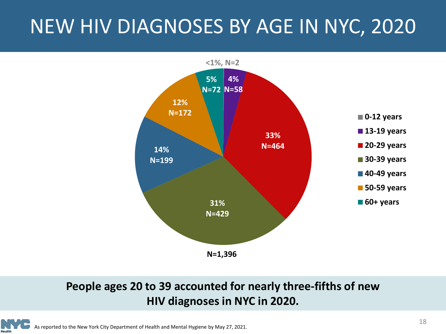### <span id="page-17-0"></span>NEW HIV DIAGNOSES BY AGE IN NYC, 2020



#### **People ages 20 to 39 accounted for nearly three-fifths of new HIV diagnoses in NYC in 2020.**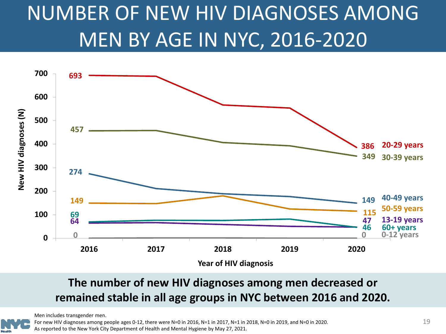### <span id="page-18-0"></span>NUMBER OF NEW HIV DIAGNOSES AMONG MEN BY AGE IN NYC, 2016-2020



#### **The number of new HIV diagnoses among men decreased or remained stable in all age groups in NYC between 2016 and 2020.**

Men includes transgender men.

For new HIV diagnoses among people ages 0-12, there were N=0 in 2016, N=1 in 2017, N=1 in 2018, N=0 in 2019, and N=0 in 2020. As reported to the New York City Department of Health and Mental Hygiene by May 27, 2021.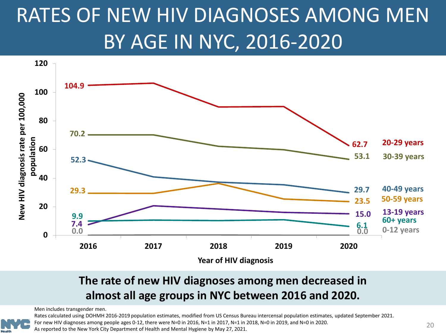### <span id="page-19-0"></span>RATES OF NEW HIV DIAGNOSES AMONG MEN BY AGE IN NYC, 2016-2020



#### **The rate of new HIV diagnoses among men decreased in almost all age groups in NYC between 2016 and 2020.**

Men includes transgender men.



Rates calculated using DOHMH 2016-2019 population estimates, modified from US Census Bureau intercensal population estimates, updated September 2021.

For new HIV diagnoses among people ages 0-12, there were N=0 in 2016, N=1 in 2017, N=1 in 2018, N=0 in 2019, and N=0 in 2020.

As reported to the New York City Department of Health and Mental Hygiene by May 27, 2021.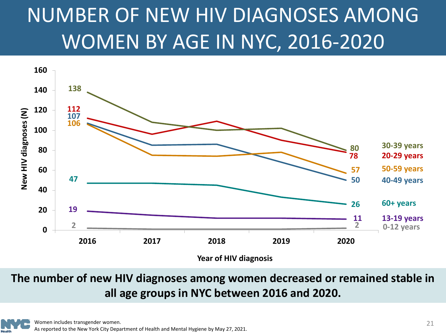## <span id="page-20-0"></span>NUMBER OF NEW HIV DIAGNOSES AMONG WOMEN BY AGE IN NYC, 2016-2020



**Year of HIV diagnosis**

**The number of new HIV diagnoses among women decreased or remained stable in all age groups in NYC between 2016 and 2020.**

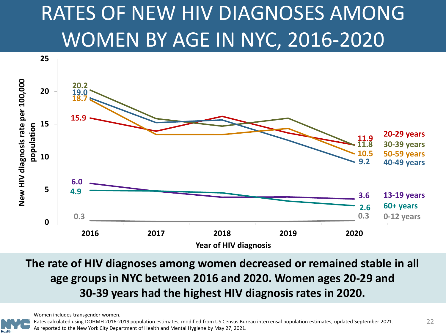### <span id="page-21-0"></span>RATES OF NEW HIV DIAGNOSES AMONG WOMEN BY AGE IN NYC, 2016-2020



**The rate of HIV diagnoses among women decreased or remained stable in all age groups in NYC between 2016 and 2020. Women ages 20-29 and 30-39 years had the highest HIV diagnosis rates in 2020.**

Women includes transgender women.



Rates calculated using DOHMH 2016-2019 population estimates, modified from US Census Bureau intercensal population estimates, updated September 2021. As reported to the New York City Department of Health and Mental Hygiene by May 27, 2021.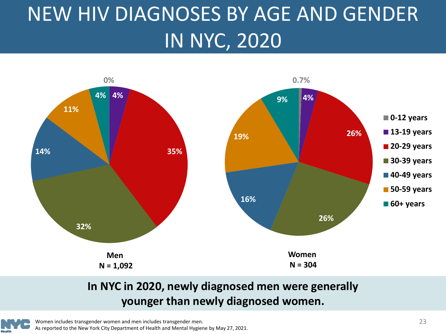# <span id="page-22-0"></span>NEW HIV DIAGNOSES BY AGE AND GENDER IN NYC, 2020



### **In NYC in 2020, newly diagnosed men were generally younger than newly diagnosed women.**



Women includes transgender women and men includes transgender men. As reported to the New York City Department of Health and Mental Hygiene by May 27, 2021.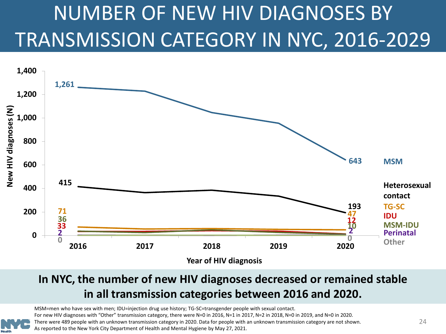# <span id="page-23-0"></span>NUMBER OF NEW HIV DIAGNOSES BY TRANSMISSION CATEGORY IN NYC, 2016-2029



#### **In NYC, the number of new HIV diagnoses decreased or remained stable in all transmission categories between 2016 and 2020.**

MSM=men who have sex with men; IDU=injection drug use history; TG-SC=transgender people with sexual contact. For new HIV diagnoses with "Other" transmission category, there were N=0 in 2016, N=1 in 2017, N=2 in 2018, N=0 in 2019, and N=0 in 2020. There were 489 people with an unknown transmission category in 2020. Data for people with an unknown transmission category are not shown. As reported to the New York City Department of Health and Mental Hygiene by May 27, 2021.

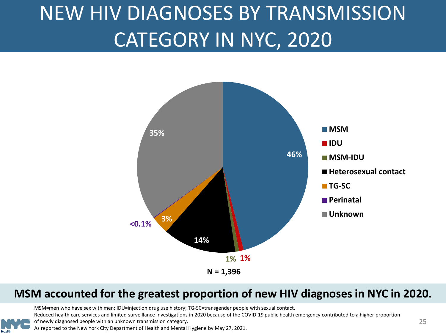### <span id="page-24-0"></span>NEW HIV DIAGNOSES BY TRANSMISSION CATEGORY IN NYC, 2020



#### **MSM accounted for the greatest proportion of new HIV diagnoses in NYC in 2020.**

MSM=men who have sex with men; IDU=injection drug use history; TG-SC=transgender people with sexual contact.

Reduced health care services and limited surveillance investigations in 2020 because of the COVID-19 public health emergency contributed to a higher proportion

of newly diagnosed people with an unknown transmission category.

As reported to the New York City Department of Health and Mental Hygiene by May 27, 2021.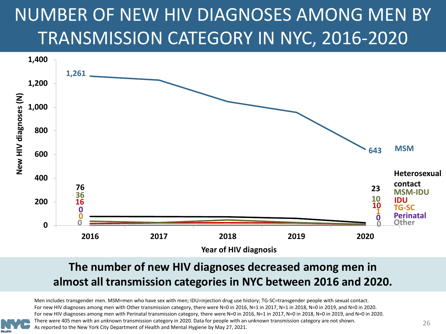### <span id="page-25-0"></span>NUMBER OF NEW HIV DIAGNOSES AMONG MEN BY TRANSMISSION CATEGORY IN NYC, 2016-2020



#### **The number of new HIV diagnoses decreased among men in almost all transmission categories in NYC between 2016 and 2020.**

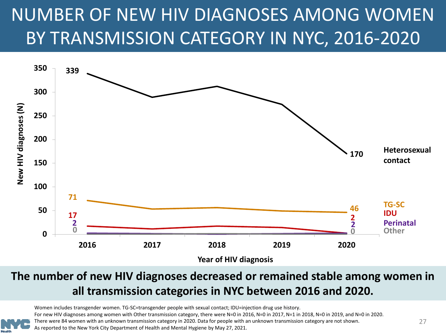### <span id="page-26-0"></span>NUMBER OF NEW HIV DIAGNOSES AMONG WOMEN BY TRANSMISSION CATEGORY IN NYC, 2016-2020



#### **The number of new HIV diagnoses decreased or remained stable among women in all transmission categories in NYC between 2016 and 2020.**

Women includes transgender women. TG-SC=transgender people with sexual contact; IDU=injection drug use history. For new HIV diagnoses among women with Other transmission category, there were N=0 in 2016, N=0 in 2011, N=1 in 2018, N=0 in 2019, and N=0 in 2020. There were 84 women with an unknown transmission category in 2020. Data for people with an unknown transmission category are not shown. As reported to the New York City Department of Health and Mental Hygiene by May 27, 2021.

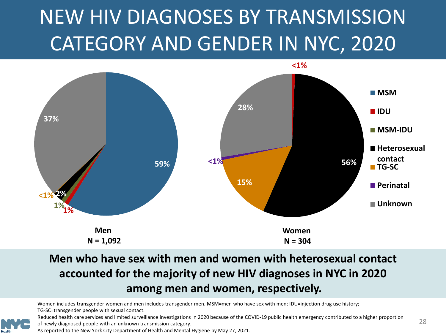## <span id="page-27-0"></span>NEW HIV DIAGNOSES BY TRANSMISSION CATEGORY AND GENDER IN NYC, 2020



### **Men who have sex with men and women with heterosexual contact accounted for the majority of new HIV diagnoses in NYC in 2020 among men and women, respectively.**

Women includes transgender women and men includes transgender men. MSM=men who have sex with men; IDU=injection drug use history; TG-SC=transgender people with sexual contact.



Reduced health care services and limited surveillance investigations in 2020 because of the COVID-19 public health emergency contributed to a higher proportion of newly diagnosed people with an unknown transmission category.

As reported to the New York City Department of Health and Mental Hygiene by May 27, 2021.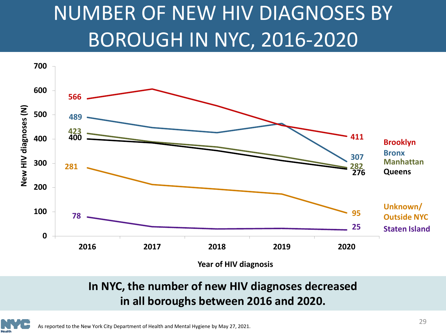### <span id="page-28-0"></span>NUMBER OF NEW HIV DIAGNOSES BY BOROUGH IN NYC, 2016-2020



**Year of HIV diagnosis**

#### **In NYC, the number of new HIV diagnoses decreased in all boroughs between 2016 and 2020.**

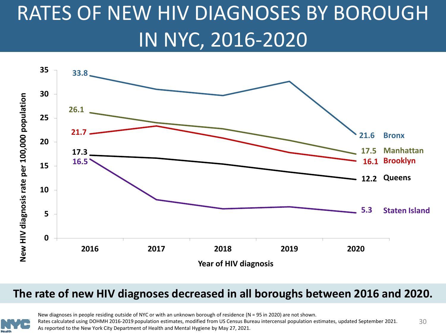### <span id="page-29-0"></span>RATES OF NEW HIV DIAGNOSES BY BOROUGH IN NYC, 2016-2020



#### **The rate of new HIV diagnoses decreased in all boroughs between 2016 and 2020.**



30 New diagnoses in people residing outside of NYC or with an unknown borough of residence (N = 95 in 2020) are not shown. Rates calculated using DOHMH 2016-2019 population estimates, modified from US Census Bureau intercensal population estimates, updated September 2021. As reported to the New York City Department of Health and Mental Hygiene by May 27, 2021.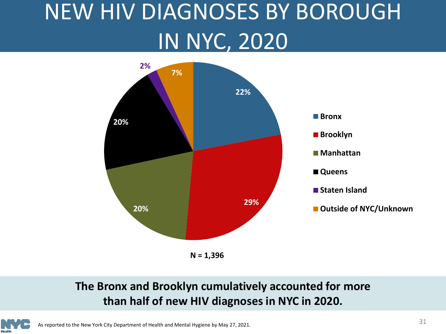# <span id="page-30-0"></span>NEW HIV DIAGNOSES BY BOROUGH IN NYC, 2020



**N = 1,396**

### **The Bronx and Brooklyn cumulatively accounted for more than half of new HIV diagnoses in NYC in 2020.**

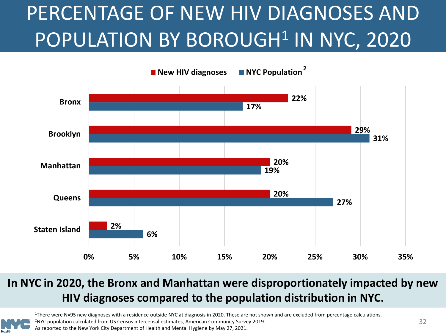## <span id="page-31-0"></span>PERCENTAGE OF NEW HIV DIAGNOSES AND POPULATION BY BOROUGH<sup>1</sup> IN NYC, 2020



#### **In NYC in 2020, the Bronx and Manhattan were disproportionately impacted by new HIV diagnoses compared to the population distribution in NYC.**

1There were N=95 new diagnoses with a residence outside NYC at diagnosis in 2020. These are not shown and are excluded from percentage calculations. 2NYC population calculated from US Census intercensal estimates, American Community Survey 2019.

As reported to the New York City Department of Health and Mental Hygiene by May 27, 2021.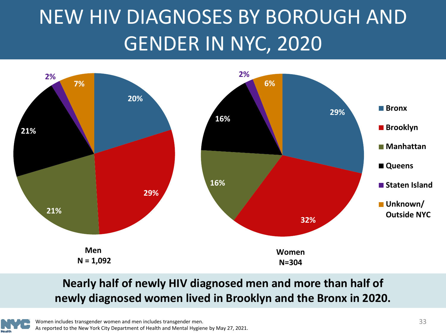### <span id="page-32-0"></span>NEW HIV DIAGNOSES BY BOROUGH AND GENDER IN NYC, 2020



#### **Nearly half of newly HIV diagnosed men and more than half of newly diagnosed women lived in Brooklyn and the Bronx in 2020.**

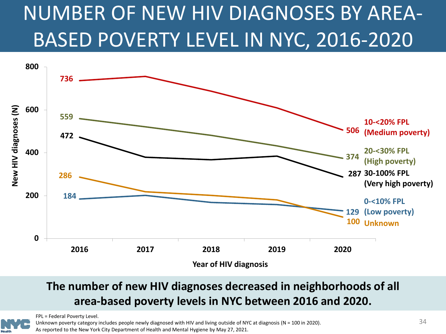## <span id="page-33-0"></span>NUMBER OF NEW HIV DIAGNOSES BY AREA-BASED POVERTY LEVEL IN NYC, 2016-2020



#### **The number of new HIV diagnoses decreased in neighborhoods of all area-based poverty levels in NYC between 2016 and 2020.**



FPL = Federal Poverty Level.

Unknown poverty category includes people newly diagnosed with HIV and living outside of NYC at diagnosis (N = 100 in 2020). As reported to the New York City Department of Health and Mental Hygiene by May 27, 2021.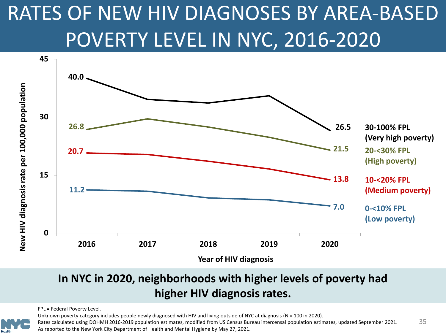### <span id="page-34-0"></span>RATES OF NEW HIV DIAGNOSES BY AREA-BASED POVERTY LEVEL IN NYC, 2016-2020



#### **In NYC in 2020, neighborhoods with higher levels of poverty had higher HIV diagnosis rates.**

FPL = Federal Poverty Level.

Unknown poverty category includes people newly diagnosed with HIV and living outside of NYC at diagnosis (N = 100 in 2020).

Rates calculated using DOHMH 2016-2019 population estimates, modified from US Census Bureau intercensal population estimates, updated September 2021. As reported to the New York City Department of Health and Mental Hygiene by May 27, 2021.

35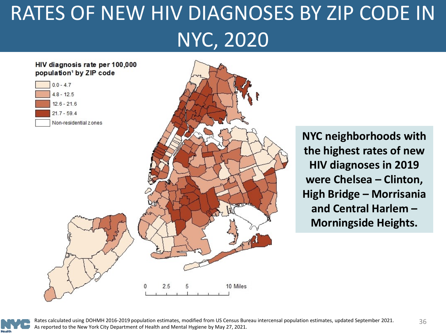# <span id="page-35-0"></span>RATES OF NEW HIV DIAGNOSES BY ZIP CODE IN NYC, 2020



**NYC neighborhoods with the highest rates of new HIV diagnoses in 2019 were Chelsea – Clinton, High Bridge – Morrisania and Central Harlem – Morningside Heights.**



Rates calculated using DOHMH 2016-2019 population estimates, modified from US Census Bureau intercensal population estimates, updated September 2021. As reported to the New York City Department of Health and Mental Hygiene by May 27, 2021.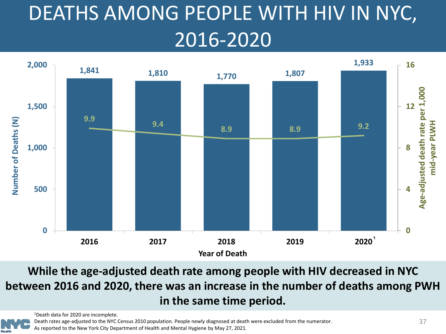# <span id="page-36-0"></span>DEATHS AMONG PEOPLE WITH HIV IN NYC, 2016-2020



**While the age-adjusted death rate among people with HIV decreased in NYC between 2016 and 2020, there was an increase in the number of deaths among PWH in the same time period.**

1Death data for 2020 are incomplete.

Death rates age-adjusted to the NYC Census 2010 population. People newly diagnosed at death were excluded from the numerator. As reported to the New York City Department of Health and Mental Hygiene by May 27, 2021.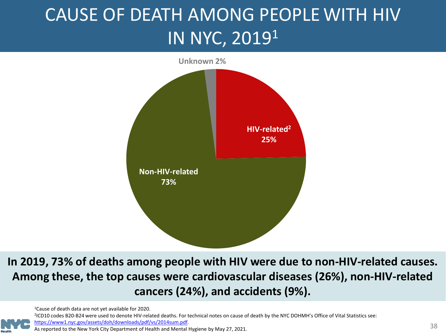### <span id="page-37-0"></span>CAUSE OF DEATH AMONG PEOPLE WITH HIV IN NYC, 20191



**In 2019, 73% of deaths among people with HIV were due to non-HIV-related causes. Among these, the top causes were cardiovascular diseases (26%), non-HIV-related cancers (24%), and accidents (9%).**

1Cause of death data are not yet available for 2020.

<sup>2</sup>ICD10 codes B20-B24 were used to denote HIV-related deaths. For technical notes on cause of death by the NYC DOHMH's Office of Vital Statistics see:

[https://www1.nyc.gov/assets/doh/downloads/pdf/vs/2014sum.pdf.](https://www1.nyc.gov/assets/doh/downloads/pdf/vs/2014sum.pdf)

ntips://www1.hyc.gov/assets/doir/downloads/pdf/vs/2014sdm.pdf.<br>As reported to the New York City Department of Health and Mental Hygiene by May 27, 2021.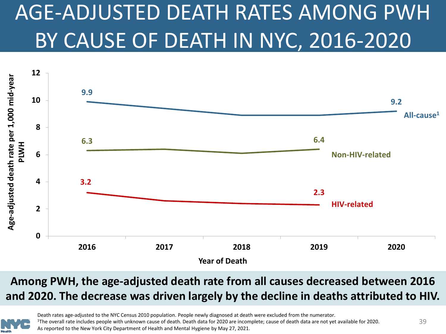# <span id="page-38-0"></span>AGE-ADJUSTED DEATH RATES AMONG PWH BY CAUSE OF DEATH IN NYC, 2016-2020



### **Among PWH, the age-adjusted death rate from all causes decreased between 2016 and 2020. The decrease was driven largely by the decline in deaths attributed to HIV.**



Death rates age-adjusted to the NYC Census 2010 population. People newly diagnosed at death were excluded from the numerator.<br><sup>1</sup>The overall rate includes people with unknown cause of death. Death data for 2020 are incompl As reported to the New York City Department of Health and Mental Hygiene by May 27, 2021.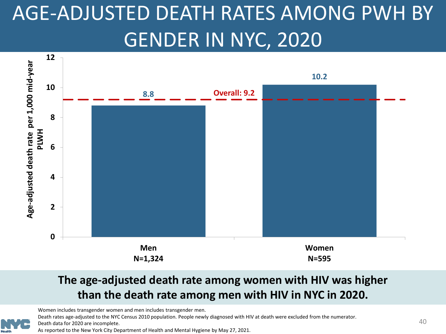## <span id="page-39-0"></span>AGE-ADJUSTED DEATH RATES AMONG PWH BY GENDER IN NYC, 2020



#### **The age-adjusted death rate among women with HIV was higher than the death rate among men with HIV in NYC in 2020.**

Women includes transgender women and men includes transgender men.

Death rates age-adjusted to the NYC Census 2010 population. People newly diagnosed with HIV at death were excluded from the numerator.

Death data for 2020 are incomplete.

As reported to the New York City Department of Health and Mental Hygiene by May 27, 2021.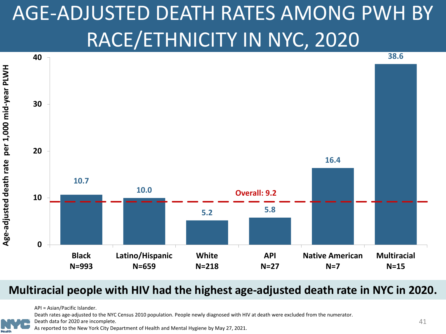## <span id="page-40-0"></span>AGE-ADJUSTED DEATH RATES AMONG PWH BY RACE/ETHNICITY IN NYC, 2020



#### **Multiracial people with HIV had the highest age-adjusted death rate in NYC in 2020.**

API = Asian/Pacific Islander.

Death rates age-adjusted to the NYC Census 2010 population. People newly diagnosed with HIV at death were excluded from the numerator.

Death data for 2020 are incomplete.

As reported to the New York City Department of Health and Mental Hygiene by May 27, 2021.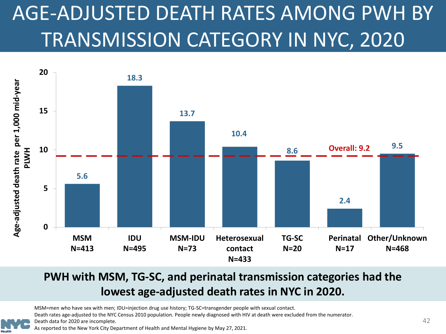# <span id="page-41-0"></span>AGE-ADJUSTED DEATH RATES AMONG PWH BY TRANSMISSION CATEGORY IN NYC, 2020



### **PWH with MSM, TG-SC, and perinatal transmission categories had the lowest age-adjusted death rates in NYC in 2020.**

MSM=men who have sex with men; IDU=injection drug use history; TG-SC=transgender people with sexual contact.

Death rates age-adjusted to the NYC Census 2010 population. People newly diagnosed with HIV at death were excluded from the numerator.

Death data for 2020 are incomplete.

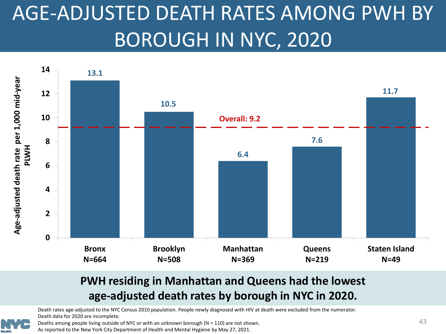## <span id="page-42-0"></span>AGE-ADJUSTED DEATH RATES AMONG PWH BY BOROUGH IN NYC, 2020



#### **PWH residing in Manhattan and Queens had the lowest age-adjusted death rates by borough in NYC in 2020.**

Death rates age-adjusted to the NYC Census 2010 population. People newly diagnosed with HIV at death were excluded from the numerator. Death data for 2020 are incomplete.



Deaths among people living outside of NYC or with an unknown borough (N = 110) are not shown.

As reported to the New York City Department of Health and Mental Hygiene by May 27, 2021.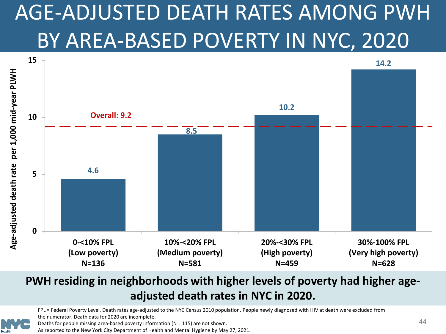# <span id="page-43-0"></span>AGE-ADJUSTED DEATH RATES AMONG PWH BY AREA-BASED POVERTY IN NYC, 2020



#### **PWH residing in neighborhoods with higher levels of poverty had higher ageadjusted death rates in NYC in 2020.**

FPL = Federal Poverty Level. Death rates age-adjusted to the NYC Census 2010 population. People newly diagnosed with HIV at death were excluded from the numerator. Death data for 2020 are incomplete.

Deaths for people missing area-based poverty information ( $N = 115$ ) are not shown.

As reported to the New York City Department of Health and Mental Hygiene by May 27, 2021.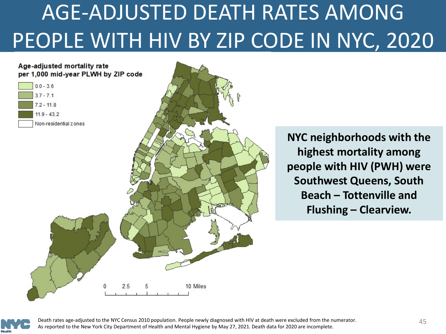# <span id="page-44-0"></span>AGE-ADJUSTED DEATH RATES AMONG PEOPLE WITH HIV BY ZIP CODE IN NYC, 2020

#### Age-adjusted mortality rate per 1,000 mid-year PLWH by ZIP code



**NYC neighborhoods with the highest mortality among people with HIV (PWH) were Southwest Queens, South Beach – Tottenville and Flushing – Clearview.**



Death rates age-adjusted to the NYC Census 2010 population. People newly diagnosed with HIV at death were excluded from the numerator. As reported to the New York City Department of Health and Mental Hygiene by May 27, 2021. Death data for 2020 are incomplete.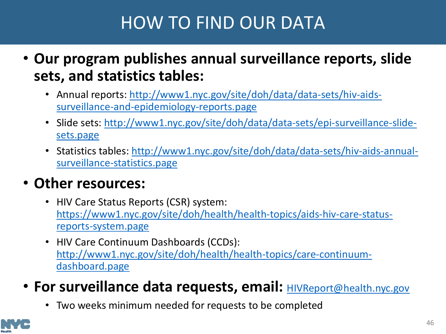### HOW TO FIND OUR DATA

- <span id="page-45-0"></span>• **Our program publishes annual surveillance reports, slide sets, and statistics tables:**
	- [Annual reports: http://www1.nyc.gov/site/doh/data/data-sets/hiv-aids](http://www1.nyc.gov/site/doh/data/data-sets/hiv-aids-surveillance-and-epidemiology-reports.page)surveillance-and-epidemiology-reports.page
	- [Slide sets: http://www1.nyc.gov/site/doh/data/data-sets/epi-surveillance-slide](http://www1.nyc.gov/site/doh/data/data-sets/epi-surveillance-slide-sets.page)sets.page
	- [Statistics tables: http://www1.nyc.gov/site/doh/data/data-sets/hiv-aids-annual](http://www1.nyc.gov/site/doh/data/data-sets/hiv-aids-annual-surveillance-statistics.page)surveillance-statistics.page

### • **Other resources:**

- HIV Care Status Reports (CSR) system: [https://www1.nyc.gov/site/doh/health/health-topics/aids-hiv-care-status](https://www1.nyc.gov/site/doh/health/health-topics/aids-hiv-care-status-reports-system.page)reports-system.page
- HIV Care Continuum Dashboards (CCDs): [http://www1.nyc.gov/site/doh/health/health-topics/care-continuum](http://www1.nyc.gov/site/doh/health/health-topics/care-continuum-dashboard.page)dashboard.page
- For surveillance data requests, email: **[HIVReport@health.nyc.gov](mailto:HIVReport@health.nyc.gov)** 
	- Two weeks minimum needed for requests to be completed